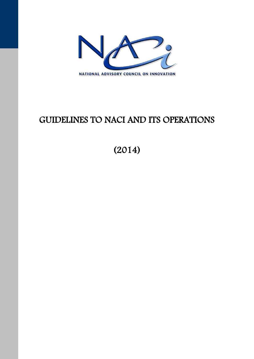

# GUIDELINES TO NACI AND ITS OPERATIONS

(2014)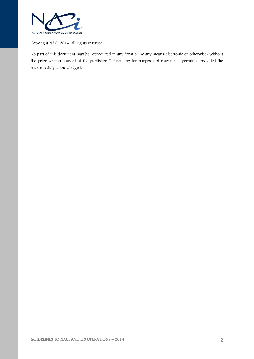

Copyright NACI 2014, all rights reserved.

No part of this document may be reproduced in any form or by any means-electronic or otherwise- without the prior written consent of the publisher. Referencing for purposes of research is permitted provided the source is duly acknowledged.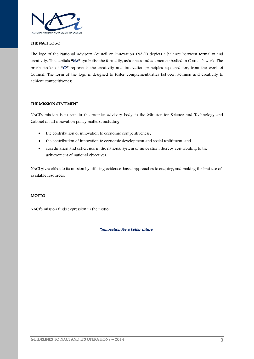

#### THE NACI LOGO

The logo of the National Advisory Council on Innovation (NACI) depicts a balance between formality and creativity. The capitals "NA" symbolise the formality, astuteness and acumen embodied in Council's work. The brush stroke of " $C\mathbf{i}$ " represents the creativity and innovation principles espoused for, from the work of Council. The form of the logo is designed to foster complementarities between acumen and creativity to achieve competitiveness.

#### THE MISSION STATEMENT

NACI's mission is to remain the premier advisory body to the Minister for Science and Technology and Cabinet on all innovation policy matters, including:

- the contribution of innovation to economic competitiveness;
- the contribution of innovation to economic development and social upliftment; and
- coordination and coherence in the national system of innovation, thereby contributing to the achievement of national objectives.

NACI gives effect to its mission by utilising evidence-based approaches to enquiry, and making the best use of available resources.

#### MOTTO

NACI's mission finds expression in the motto:

"innovation for a better future"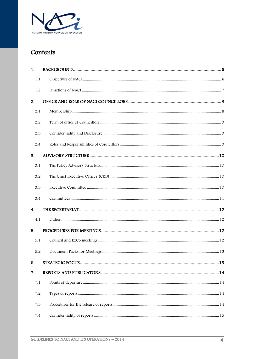

# Contents

| 1.           |  |
|--------------|--|
| 1.1          |  |
| 1.2          |  |
| 2.           |  |
| 2.1          |  |
| 2.2          |  |
| 2.3          |  |
| 2.4          |  |
| 3.           |  |
| 3.1          |  |
| 3.2          |  |
| 3.3          |  |
| 3.4          |  |
| $\mathbf{4}$ |  |
| 4.1          |  |
| 5.           |  |
| 5.1          |  |
| 5.2          |  |
| 6.           |  |
| 7.           |  |
| 7.1          |  |
| 7.2          |  |
| 7.3          |  |
| 7.4          |  |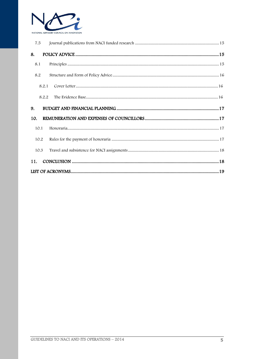

| 7.5  |       |                                                                                                                                                                                                                                                              |  |
|------|-------|--------------------------------------------------------------------------------------------------------------------------------------------------------------------------------------------------------------------------------------------------------------|--|
| 8.   |       |                                                                                                                                                                                                                                                              |  |
| 8.1  |       | $\textbf{Principles} \, \textcolor{red}{…}{\textcolor{blue}{…}{\textcolor{blue}{…}{\textcolor{blue}{…}{\textcolor{blue}{…}{\textcolor{blue}{…}{\textcolor{blue}{…}{\textcolor{blue}{…}{\textcolor{blue}{…}{\textcolor{blue}{…}}}}}}}}}} \textcolor{red}{15}$ |  |
| 8.2  |       |                                                                                                                                                                                                                                                              |  |
|      | 8.2.1 |                                                                                                                                                                                                                                                              |  |
|      | 8.2.2 |                                                                                                                                                                                                                                                              |  |
|      |       |                                                                                                                                                                                                                                                              |  |
| 9.   |       |                                                                                                                                                                                                                                                              |  |
| 10.  |       |                                                                                                                                                                                                                                                              |  |
| 10.1 |       |                                                                                                                                                                                                                                                              |  |
| 10.2 |       |                                                                                                                                                                                                                                                              |  |
| 10.3 |       |                                                                                                                                                                                                                                                              |  |
| 11.  |       |                                                                                                                                                                                                                                                              |  |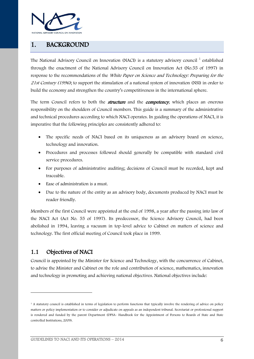

# <span id="page-5-0"></span>1. BACKGROUND

The National Advisory Council on Innovation (NACI) is a statutory advisory council  $^1$  established through the enactment of the National Advisory Council on Innovation Act (No.55 of 1997) in response to the recommendations of the *White Paper on Science and Technology: Preparing for the* 21st Century (1996); to support the stimulation of a national system of innovation (NSI) in order to build the economy and strengthen the country's competitiveness in the international sphere.

The term Council refers to both the *structure* and the *competency*, which places an onerous responsibility on the shoulders of Council members. This guide is a summary of the administrative and technical procedures according to which NACI operates. In guiding the operations of NACI, it is imperative that the following principles are consistently adhered to:

- The specific needs of NACI based on its uniqueness as an advisory board on science, technology and innovation.
- Procedures and processes followed should generally be compatible with standard civil service procedures.
- For purposes of administrative auditing; decisions of Council must be recorded, kept and traceable.
- Ease of administration is a must.
- Due to the nature of the entity as an advisory body, documents produced by NACI must be reader friendly.

Members of the first Council were appointed at the end of 1998, a year after the passing into law of the NACI Act (Act No. 55 of 1997). Its predecessor, the Science Advisory Council, had been abolished in 1994, leaving a vacuum in top-level advice to Cabinet on matters of science and technology. The first official meeting of Council took place in 1999.

#### <span id="page-5-1"></span>1.1 Objectives of NACI

-

Council is appointed by the Minister for Science and Technology, with the concurrence of Cabinet, to advise the Minister and Cabinet on the role and contribution of science, mathematics, innovation and technology in promoting and achieving national objectives. National objectives include:

<sup>&</sup>lt;sup>1</sup> A statutory council is established in terms of legislation to perform functions that typically involve the rendering of advice on policy matters or policy implementation or to consider or adjudicate on appeals as an independent tribunal. Secretariat or professional support is rendered and funded by the parent Department (DPSA- Handbook for the Appointment of Persons to Boards of State and State controlled Institutions, 2009).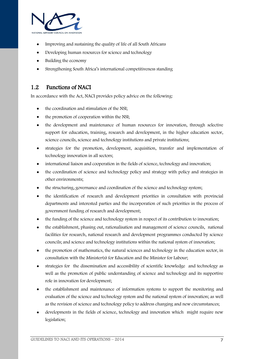

- Improving and sustaining the quality of life of all South Africans
- Developing human resources for science and technology
- Building the economy
- Strengthening South Africa's international competitiveness standing

#### <span id="page-6-0"></span>1.2 Functions of NACI

In accordance with the Act, NACI provides policy advice on the following:

- the coordination and stimulation of the NSI;
- the promotion of cooperation within the NSI;
- the development and maintenance of human resources for innovation, through selective support for education, training, research and development, in the higher education sector, science councils, science and technology institutions and private institutions;
- strategies for the promotion, development, acquisition, transfer and implementation of technology innovation in all sectors;
- international liaison and cooperation in the fields of science, technology and innovation;
- the coordination of science and technology policy and strategy with policy and strategies in other environments;
- the structuring, governance and coordination of the science and technology system;
- the identification of research and development priorities in consultation with provincial departments and interested parties and the incorporation of such priorities in the process of government funding of research and development;
- the funding of the science and technology system in respect of its contribution to innovation;
- the establishment, phasing out, rationalisation and management of science councils, national facilities for research, national research and development programmes conducted by science councils; and science and technology institutions within the national system of innovation;
- the promotion of mathematics, the natural sciences and technology in the education sector, in consultation with the Minister(s) for Education and the Minister for Labour;
- strategies for the dissemination and accessibility of scientific knowledge and technology as well as the promotion of public understanding of science and technology and its supportive role in innovation for development;
- the establishment and maintenance of information systems to support the monitoring and evaluation of the science and technology system and the national system of innovation; as well as the revision of science and technology policy to address changing and new circumstances;
- developments in the fields of science, technology and innovation which might require new legislation;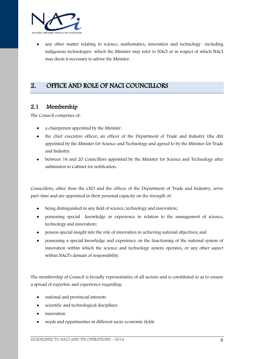

 any other matter relating to science, mathematics, innovation and technology –including indigenous technologies- which the Minister may refer to NACI or in respect of which NACI may deem it necessary to advise the Minister.

# <span id="page-7-0"></span>2. OFFICE AND ROLE OF NACI COUNCILLORS

#### <span id="page-7-1"></span>2.1 Membership

The Council comprises of:

- a chairperson appointed by the Minister.
- the chief executive officer, an officer of the Department of Trade and Industry (the dti) appointed by the Minister for Science and Technology and agreed to by the Minister for Trade and Industry.
- between 16 and 20 Councillors appointed by the Minister for Science and Technology after submission to Cabinet for notification.

Councillors, other than the CEO and the officer of the Department of Trade and Industry, serve part-time and are appointed in their personal capacity on the strength of:

- being distinguished in any field of science, technology and innovation;
- possessing special knowledge or experience in relation to the management of science, technology and innovation;
- possess special insight into the role of innovation in achieving national objectives; and
- possessing a special knowledge and experience on the functioning of the national system of innovation within which the science and technology system operates, or any other aspect within NACI's domain of responsibility.

The membership of Council is broadly representative of all sectors and is constituted so as to ensure a spread of expertise and experience regarding:

- national and provincial interests
- scientific and technological disciplines
- innovation
- needs and opportunities in different socio-economic fields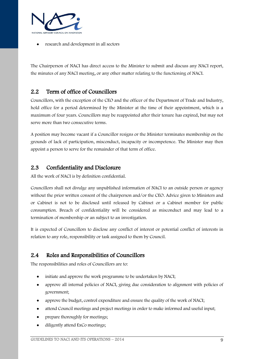

research and development in all sectors

The Chairperson of NACI has direct access to the Minister to submit and discuss any NACI report, the minutes of any NACI meeting, or any other matter relating to the functioning of NACI.

### <span id="page-8-0"></span>2.2 Term of office of Councillors

Councillors, with the exception of the CEO and the officer of the Department of Trade and Industry, hold office for a period determined by the Minister at the time of their appointment, which is a maximum of four years. Councillors may be reappointed after their tenure has expired, but may not serve more than two consecutive terms.

A position may become vacant if a Councillor resigns or the Minister terminates membership on the grounds of lack of participation, misconduct, incapacity or incompetence. The Minister may then appoint a person to serve for the remainder of that term of office.

#### <span id="page-8-1"></span>2.3 Confidentiality and Disclosure

All the work of NACI is by definition confidential.

Councillors shall not divulge any unpublished information of NACI to an outside person or agency without the prior written consent of the chairperson and/or the CEO. Advice given to Ministers and or Cabinet is not to be disclosed until released by Cabinet or a Cabinet member for public consumption. Breach of confidentiality will be considered as misconduct and may lead to a termination of membership or an subject to an investigation.

It is expected of Councillors to disclose any conflict of interest or potential conflict of interests in relation to any role, responsibility or task assigned to them by Council.

#### <span id="page-8-2"></span>2.4 Roles and Responsibilities of Councillors

The responsibilities and roles of Councillors are to:

- initiate and approve the work programme to be undertaken by NACI;
- approve all internal policies of NACI, giving due consideration to alignment with policies of government;
- approve the budget, control expenditure and ensure the quality of the work of NACI;
- attend Council meetings and project meetings in order to make informed and useful input;
- prepare thoroughly for meetings;
- diligently attend ExCo meetings;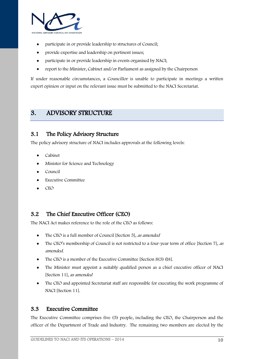

- participate in or provide leadership to structures of Council;
- provide expertise and leadership on pertinent issues;
- participate in or provide leadership in events organised by NACI;
- report to the Minister, Cabinet and/or Parliament as assigned by the Chairperson

If under reasonable circumstances, a Councillor is unable to participate in meetings a written expert opinion or input on the relevant issue must be submitted to the NACI Secretariat.

## <span id="page-9-0"></span>3. ADVISORY STRUCTURE

#### <span id="page-9-1"></span>3.1 The Policy Advisory Structure

The policy advisory structure of NACI includes approvals at the following levels:

- Cabinet
- Minister for Science and Technology
- Council
- Executive Committee
- CEO

#### <span id="page-9-2"></span>3.2 The Chief Executive Officer (CEO)

The NACI Act makes reference to the role of the CEO as follows:

- The CEO is a full member of Council [Section 5], as amended
- The CEO's membership of Council is not restricted to a four-year term of office [Section 7], as amended.
- The CEO is a member of the Executive Committee [Section 8(3) (b)].
- The Minister must appoint a suitably qualified person as a chief executive officer of NACI [Section 11], as amended
- The CEO and appointed Secretariat staff are responsible for executing the work programme of NACI [Section 11].

#### <span id="page-9-3"></span>3.3 Executive Committee

The Executive Committee comprises five (5) people, including the CEO, the Chairperson and the officer of the Department of Trade and Industry. The remaining two members are elected by the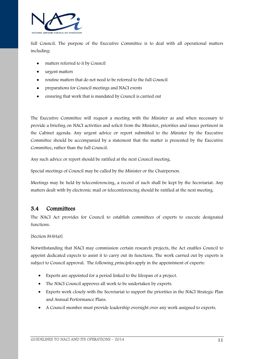

full Council. The purpose of the Executive Committee is to deal with all operational matters including:

- matters referred to it by Council
- urgent matters
- routine matters that do not need to be referred to the full Council
- preparations for Council meetings and NACI events
- ensuring that work that is mandated by Council is carried out

The Executive Committee will request a meeting with the Minister as and when necessary to provide a briefing on NACI activities and solicit from the Minister, priorities and issues pertinent in the Cabinet agenda. Any urgent advice or report submitted to the Minister by the Executive Committee should be accompanied by a statement that the matter is presented by the Executive Committee, rather than the full Council.

Any such advice or report should be ratified at the next Council meeting.

Special meetings of Council may be called by the Minister or the Chairperson.

Meetings may be held by teleconferencing, a record of such shall be kept by the Secretariat. Any matters dealt with by electronic mail or teleconferencing should be ratified at the next meeting.

#### <span id="page-10-0"></span>3.4 Committees

The NACI Act provides for Council to establish committees of experts to execute designated functions.

[Section  $8(4)(a)$ ]

Notwithstanding that NACI may commission certain research projects, the Act enables Council to appoint dedicated expects to assist it to carry out its functions. The work carried out by experts is subject to Council approval. The following *principles* apply in the appointment of experts:

- Experts are appointed for a period linked to the lifespan of a project.
- The NACI Council approves all work to be undertaken by experts.
- Experts work closely with the Secretariat to support the priorities in the NACI Strategic Plan and Annual Performance Plans.
- A Council member must provide leadership oversight over any work assigned to experts.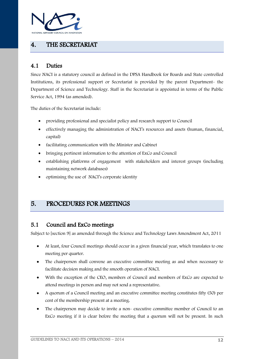

# <span id="page-11-0"></span>4. THE SECRETARIAT

#### <span id="page-11-1"></span>4.1 Duties

Since NACI is a statutory council as defined in the DPSA Handbook for Boards and State controlled Institutions, its professional support or Secretariat is provided by the parent Department- the Department of Science and Technology. Staff in the Secretariat is appointed in terms of the Public Service Act, 1994 (as amended).

The duties of the Secretariat include:

- providing professional and specialist policy and research support to Council
- effectively managing the administration of NACI's resources and assets (human, financial, capital)
- facilitating communication with the Minister and Cabinet
- bringing pertinent information to the attention of ExCo and Council
- establishing platforms of engagement with stakeholders and interest groups (including maintaining network databases)
- optimising the use of NACI's corporate identity

# <span id="page-11-2"></span>5. PROCEDURES FOR MEETINGS

#### <span id="page-11-3"></span>5.1 Council and ExCo meetings

Subject to [section 9] as amended through the Science and Technology Laws Amendment Act, 2011

- At least, four Council meetings should occur in a given financial year, which translates to one meeting per quarter.
- The chairperson shall convene an executive committee meeting as and when necessary to facilitate decision making and the smooth operation of NACI.
- With the exception of the CEO, members of Council and members of ExCo are expected to attend meetings in person and may not send a representative.
- A quorum of a Council meeting and an executive committee meeting constitutes fifty (50) per cent of the membership present at a meeting.
- The chairperson may decide to invite a non- executive committee member of Council to an ExCo meeting if it is clear before the meeting that a quorum will not be present. In such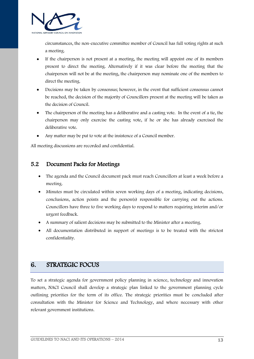

circumstances, the non-executive committee member of Council has full voting rights at such a meeting.

- If the chairperson is not present at a meeting, the meeting will appoint one of its members present to direct the meeting. Alternatively if it was clear before the meeting that the chairperson will not be at the meeting, the chairperson may nominate one of the members to direct the meeting.
- Decisions may be taken by consensus; however, in the event that sufficient consensus cannot be reached, the decision of the majority of Councillors present at the meeting will be taken as the decision of Council.
- The chairperson of the meeting has a deliberative and a casting vote. In the event of a tie, the chairperson may only exercise the casting vote, if he or she has already exercised the deliberative vote.
- Any matter may be put to vote at the insistence of a Council member.

All meeting discussions are recorded and confidential.

#### <span id="page-12-0"></span>5.2 Document Packs for Meetings

- The agenda and the Council document pack must reach Councillors at least a week before a meeting.
- Minutes must be circulated within seven working days of a meeting, indicating decisions, conclusions, action points and the person(s) responsible for carrying out the actions. Councillors have three to five working days to respond to matters requiring interim and/or urgent feedback.
- A summary of salient decisions may be submitted to the Minister after a meeting.
- All documentation distributed in support of meetings is to be treated with the strictest confidentiality.

#### <span id="page-12-1"></span>6. STRATEGIC FOCUS

To set a strategic agenda for government policy planning in science, technology and innovation matters, NACI Council shall develop a strategic plan linked to the government planning cycle outlining priorities for the term of its office. The strategic priorities must be concluded after consultation with the Minister for Science and Technology, and where necessary with other relevant government institutions.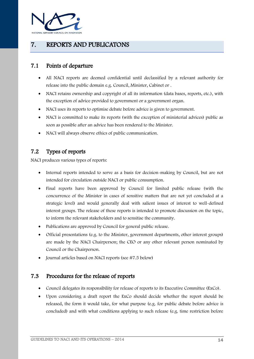

# <span id="page-13-0"></span>7. REPORTS AND PUBLICATONS

#### <span id="page-13-1"></span>7.1 Points of departure

- All NACI reports are deemed confidential until declassified by a relevant authority for release into the public domain e.g. Council, Minister, Cabinet or .
- NACI retains ownership and copyright of all its information (data bases, reports, etc.), with the exception of advice provided to government or a government organ.
- NACI uses its reports to optimise debate before advice is given to government.
- NACI is committed to make its reports (with the exception of ministerial advices) public as soon as possible after an advice has been rendered to the Minister.
- NACI will always observe ethics of public communication.

### <span id="page-13-2"></span>7.2 Types of reports

NACI produces various types of reports:

- Internal reports intended to serve as a basis for decision-making by Council, but are not intended for circulation outside NACI or public consumption.
- Final reports have been approved by Council for limited public release (with the concurrence of the Minister in cases of sensitive matters that are not yet concluded at a strategic level) and would generally deal with salient issues of interest to well-defined interest groups. The release of these reports is intended to promote discussion on the topic, to inform the relevant stakeholders and to sensitise the community.
- Publications are approved by Council for general public release.
- Official presentations (e.g. to the Minister, government departments, other interest groups) are made by the NACI Chairperson; the CEO or any other relevant person nominated by Council or the Chairperson.
- Journal articles based on NACI reports (see #7.5 below)

#### <span id="page-13-3"></span>7.3 Procedures for the release of reports

- Council delegates its responsibility for release of reports to its Executive Committee (ExCo).
- Upon considering a draft report the ExCo should decide whether the report should be released, the form it would take, for what purpose (e.g. for public debate before advice is concluded) and with what conditions applying to such release (e.g. time restriction before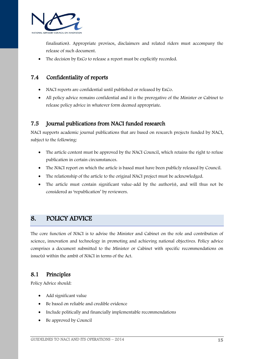

finalisation). Appropriate provisos, disclaimers and related riders must accompany the release of such document.

The decision by ExCo to release a report must be explicitly recorded.

#### <span id="page-14-0"></span>7.4 Confidentiality of reports

- NACI reports are confidential until published or released by ExCo.
- All policy advice remains confidential and it is the prerogative of the Minister or Cabinet to release policy advice in whatever form deemed appropriate.

### <span id="page-14-1"></span>7.5 Journal publications from NACI funded research

NACI supports academic journal publications that are based on research projects funded by NACI, subject to the following:

- The article content must be approved by the NACI Council, which retains the right to refuse publication in certain circumstances.
- The NACI report on which the article is based must have been publicly released by Council.
- The relationship of the article to the original NACI project must be acknowledged.
- The article must contain significant value-add by the author(s), and will thus not be considered as 'republication' by reviewers.

# <span id="page-14-2"></span>8. POLICY ADVICE

The core function of NACI is to advise the Minister and Cabinet on the role and contribution of science, innovation and technology in promoting and achieving national objectives. Policy advice comprises a document submitted to the Minister or Cabinet with specific recommendations on issue(s) within the ambit of NACI in terms of the Act.

#### <span id="page-14-3"></span>8.1 Principles

Policy Advice should:

- Add significant value
- Be based on reliable and credible evidence
- Include politically and financially implementable recommendations
- Be approved by Council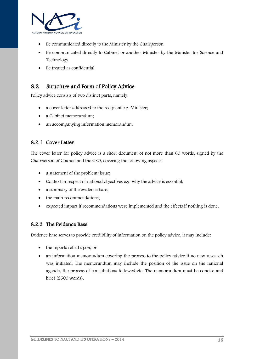

- Be communicated directly to the Minister by the Chairperson
- Be communicated directly to Cabinet or another Minister by the Minister for Science and Technology
- Be treated as confidential

#### <span id="page-15-0"></span>8.2 Structure and Form of Policy Advice

Policy advice consists of two distinct parts, namely:

- a cover letter addressed to the recipient e.g. Minister;
- a Cabinet memorandum;
- an accompanying information memorandum

#### <span id="page-15-1"></span>8.2.1 Cover Letter

The cover letter for policy advice is a short document of not more than 60 words, signed by the Chairperson of Council and the CEO, covering the following aspects:

- a statement of the problem/issue;
- Context in respect of national objectives e.g. why the advice is essential;
- a summary of the evidence base;
- the main recommendations;
- expected impact if recommendations were implemented and the effects if nothing is done.

#### <span id="page-15-2"></span>8.2.2 The Evidence Base

Evidence base serves to provide credibility of information on the policy advice, it may include:

- the reports relied upon; or
- an information memorandum covering the process to the policy advice if no new research was initiated. The memorandum may include the position of the issue on the national agenda, the process of consultations followed etc. The memorandum must be concise and brief (2500 words).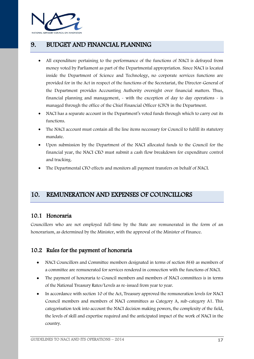

# <span id="page-16-0"></span>9. BUDGET AND FINANCIAL PLANNING

- All expenditure pertaining to the performance of the functions of NACI is defrayed from money voted by Parliament as part of the Departmental appropriation. Since NACI is located inside the Department of Science and Technology, no corporate services functions are provided for in the Act in respect of the functions of the Secretariat, the Director-General of the Department provides Accounting Authority oversight over financial matters. Thus, financial planning and management, - with the exception of day to day operations - is managed through the office of the Chief Financial Officer (CFO) in the Department.
- NACI has a separate account in the Department's voted funds through which to carry out its functions.
- The NACI account must contain all the line items necessary for Council to fulfill its statutory mandate.
- Upon submission by the Department of the NACI allocated funds to the Council for the financial year, the NACI CEO must submit a cash flow breakdown for expenditure control and tracking.
- The Departmental CFO effects and monitors all payment transfers on behalf of NACI.

## <span id="page-16-1"></span>10. REMUNERATION AND EXPENSES OF COUNCILLORS

#### <span id="page-16-2"></span>10.1 Honoraria

Councillors who are not employed full-time by the State are remunerated in the form of an honorarium, as determined by the Minister, with the approval of the Minister of Finance.

#### <span id="page-16-3"></span>10.2 Rules for the payment of honoraria

- NACI Councillors and Committee members designated in terms of section 8(4) as members of a committee are remunerated for services rendered in connection with the functions of NACI.
- The payment of honoraria to Council members and members of NACI committees is in terms of the National Treasury Rates/Levels as re-issued from year to year.
- In accordance with section 10 of the Act, Treasury approved the remuneration levels for NACI Council members and members of NACI committees as Category A, sub-category A1. This categorisation took into account the NACI decision making powers, the complexity of the field, the levels of skill and expertise required and the anticipated impact of the work of NACI in the country.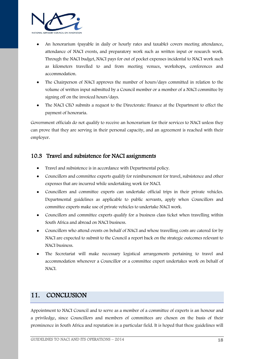

- An honorarium (payable in daily or hourly rates and taxable) covers meeting attendance, attendance of NACI events, and preparatory work such as written input or research work. Through the NACI budget, NACI pays for out of pocket expenses incidental to NACI work such as kilometers travelled to and from meeting venues, workshops, conferences and accommodation.
- The Chairperson of NACI approves the number of hours/days committed in relation to the volume of written input submitted by a Council member or a member of a NACI committee by signing off on the invoiced hours/days.
- The NACI CEO submits a request to the Directorate: Finance at the Department to effect the payment of honoraria.

Government officials do not qualify to receive an honorarium for their services to NACI unless they can prove that they are serving in their personal capacity, and an agreement is reached with their employer.

#### <span id="page-17-0"></span>10.3 Travel and subsistence for NACI assignments

- Travel and subsistence is in accordance with Departmental policy.
- Councillors and committee experts qualify for reimbursement for travel, subsistence and other expenses that are incurred while undertaking work for NACI.
- Councillors and committee experts can undertake official trips in their private vehicles. Departmental guidelines as applicable to public servants, apply when Councillors and committee experts make use of private vehicles to undertake NACI work.
- Councillors and committee experts qualify for a business class ticket when travelling within South Africa and abroad on NACI business.
- Councillors who attend events on behalf of NACI and whose travelling costs are catered for by NACI are expected to submit to the Council a report back on the strategic outcomes relevant to NACI business.
- The Secretariat will make necessary logistical arrangements pertaining to travel and accommodation whenever a Councillor or a committee expert undertakes work on behalf of NACI.

# <span id="page-17-1"></span>11. CONCLUSION

Appointment to NACI Council and to serve as a member of a committee of experts is an honour and a priviledge, since Councillors and members of committees are chosen on the basis of their prominence in South Africa and reputation in a particular field. It is hoped that these guidelines will